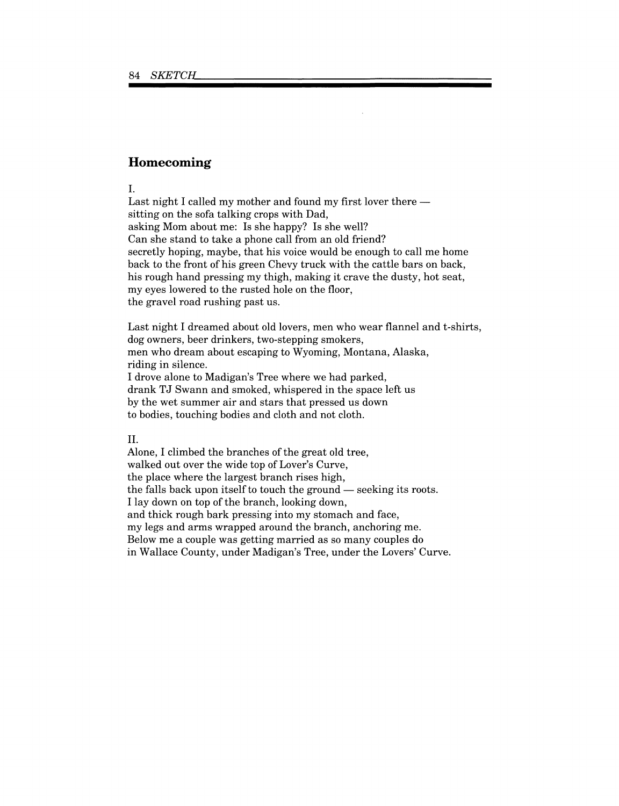## **Homecoming**

I.

Last night I called my mother and found my first lover there sitting on the sofa talking crops with Dad, asking Mom about me: Is she happy? Is she well? Can she stand to take a phone call from an old friend? secretly hoping, maybe, that his voice would be enough to call me home back to the front of his green Chevy truck with the cattle bars on back, his rough hand pressing my thigh, making it crave the dusty, hot seat, my eyes lowered to the rusted hole on the floor, the gravel road rushing past us.

Last night I dreamed about old lovers, men who wear flannel and t-shirts, dog owners, beer drinkers, two-stepping smokers, men who dream about escaping to Wyoming, Montana, Alaska, riding in silence. I drove alone to Madigan's Tree where we had parked, drank TJ Swann and smoked, whispered in the space left us by the wet summer air and stars that pressed us down to bodies, touching bodies and cloth and not cloth.

## II.

Alone, I climbed the branches of the great old tree, walked out over the wide top of Lover's Curve, the place where the largest branch rises high, the falls back upon itself to touch the ground — seeking its roots. I lay down on top of the branch, looking down, and thick rough bark pressing into my stomach and face, my legs and arms wrapped around the branch, anchoring me. Below me a couple was getting married as so many couples do in Wallace County, under Madigan's Tree, under the Lovers' Curve.